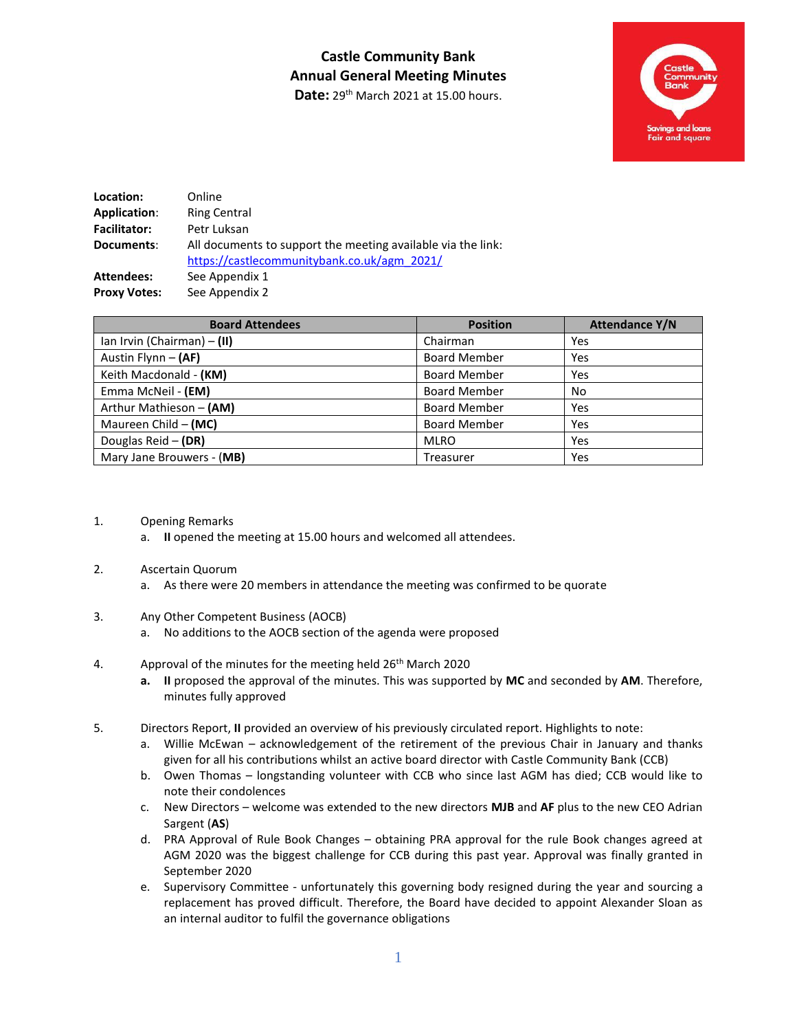# **Castle Community Bank Annual General Meeting Minutes**

Date: 29<sup>th</sup> March 2021 at 15.00 hours.



| Location:           | Online                                                                                                      |
|---------------------|-------------------------------------------------------------------------------------------------------------|
| Application:        | <b>Ring Central</b>                                                                                         |
| <b>Facilitator:</b> | Petr Luksan                                                                                                 |
| Documents:          | All documents to support the meeting available via the link:<br>https://castlecommunitybank.co.uk/agm 2021/ |
| <b>Attendees:</b>   | See Appendix 1                                                                                              |
| <b>Proxy Votes:</b> | See Appendix 2                                                                                              |

| <b>Board Attendees</b>      | <b>Position</b>     | <b>Attendance Y/N</b> |
|-----------------------------|---------------------|-----------------------|
| Ian Irvin (Chairman) - (II) | Chairman            | Yes                   |
| Austin Flynn - (AF)         | <b>Board Member</b> | Yes                   |
| Keith Macdonald - (KM)      | <b>Board Member</b> | Yes                   |
| Emma McNeil - (EM)          | <b>Board Member</b> | No                    |
| Arthur Mathieson - (AM)     | <b>Board Member</b> | Yes                   |
| Maureen Child $-$ (MC)      | <b>Board Member</b> | Yes                   |
| Douglas Reid - (DR)         | <b>MLRO</b>         | Yes                   |
| Mary Jane Brouwers - (MB)   | Treasurer           | Yes                   |

- 1. Opening Remarks
	- a. **II** opened the meeting at 15.00 hours and welcomed all attendees.

### 2. Ascertain Quorum

- a. As there were 20 members in attendance the meeting was confirmed to be quorate
- 3. Any Other Competent Business (AOCB)
	- a. No additions to the AOCB section of the agenda were proposed
- 4. Approval of the minutes for the meeting held 26<sup>th</sup> March 2020
	- **a. II** proposed the approval of the minutes. This was supported by **MC** and seconded by **AM**. Therefore, minutes fully approved
- 5. Directors Report, **II** provided an overview of his previously circulated report. Highlights to note:
	- a. Willie McEwan acknowledgement of the retirement of the previous Chair in January and thanks given for all his contributions whilst an active board director with Castle Community Bank (CCB)
	- b. Owen Thomas longstanding volunteer with CCB who since last AGM has died; CCB would like to note their condolences
	- c. New Directors welcome was extended to the new directors **MJB** and **AF** plus to the new CEO Adrian Sargent (**AS**)
	- d. PRA Approval of Rule Book Changes obtaining PRA approval for the rule Book changes agreed at AGM 2020 was the biggest challenge for CCB during this past year. Approval was finally granted in September 2020
	- e. Supervisory Committee unfortunately this governing body resigned during the year and sourcing a replacement has proved difficult. Therefore, the Board have decided to appoint Alexander Sloan as an internal auditor to fulfil the governance obligations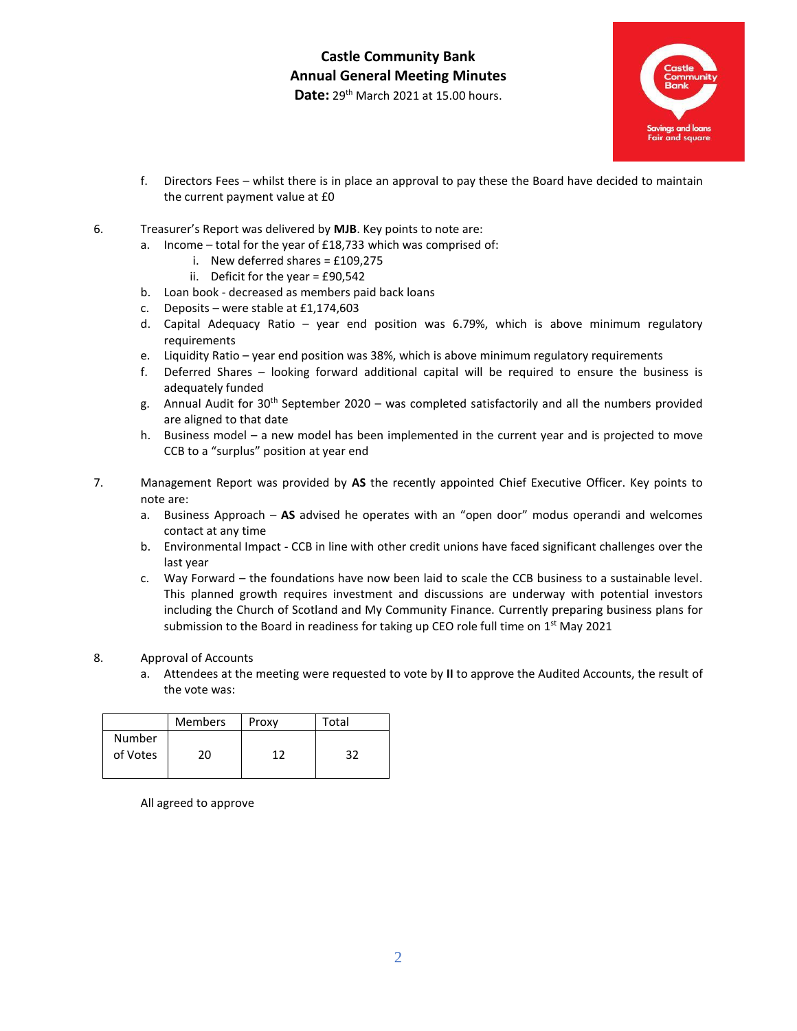Date: 29<sup>th</sup> March 2021 at 15.00 hours.



- f. Directors Fees whilst there is in place an approval to pay these the Board have decided to maintain the current payment value at £0
- 6. Treasurer's Report was delivered by **MJB**. Key points to note are:
	- a. Income total for the year of £18,733 which was comprised of:
		- i. New deferred shares =  $£109,275$
		- ii. Deficit for the year =  $£90,542$
	- b. Loan book decreased as members paid back loans
	- c. Deposits were stable at £1,174,603
	- d. Capital Adequacy Ratio year end position was 6.79%, which is above minimum regulatory requirements
	- e. Liquidity Ratio year end position was 38%, which is above minimum regulatory requirements
	- f. Deferred Shares looking forward additional capital will be required to ensure the business is adequately funded
	- g. Annual Audit for  $30<sup>th</sup>$  September 2020 was completed satisfactorily and all the numbers provided are aligned to that date
	- h. Business model a new model has been implemented in the current year and is projected to move CCB to a "surplus" position at year end
- 7. Management Report was provided by **AS** the recently appointed Chief Executive Officer. Key points to note are:
	- a. Business Approach **AS** advised he operates with an "open door" modus operandi and welcomes contact at any time
	- b. Environmental Impact CCB in line with other credit unions have faced significant challenges over the last year
	- c. Way Forward the foundations have now been laid to scale the CCB business to a sustainable level. This planned growth requires investment and discussions are underway with potential investors including the Church of Scotland and My Community Finance. Currently preparing business plans for submission to the Board in readiness for taking up CEO role full time on  $1<sup>st</sup>$  May 2021
- 8. Approval of Accounts
	- a. Attendees at the meeting were requested to vote by **II** to approve the Audited Accounts, the result of the vote was:

|                    | <b>Members</b> | Proxy | Total |
|--------------------|----------------|-------|-------|
| Number<br>of Votes | າ∩∶            | 1つ    | 32    |

All agreed to approve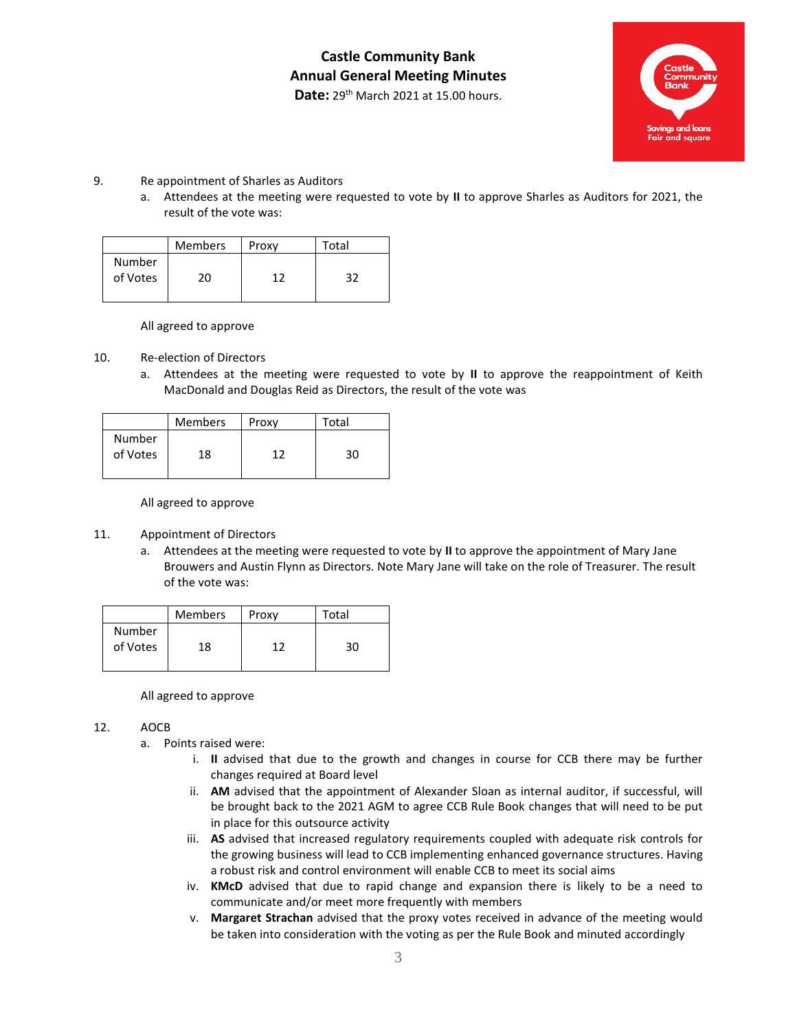**Castle Community Bank Annual General Meeting Minutes** 

Date: 29<sup>th</sup> March 2021 at 15.00 hours.



- 9. Re appointment of Sharles as Auditors
	- a. Attendees at the meeting were requested to vote by **II** to approve Sharles as Auditors for 2021, the result of the vote was:

|                    | <b>Members</b> | Proxy | Total |
|--------------------|----------------|-------|-------|
| Number<br>of Votes | 20             | 1 7   | 37    |

All agreed to approve

- 10. Re-election of Directors
	- a. Attendees at the meeting were requested to vote by **II** to approve the reappointment of Keith MacDonald and Douglas Reid as Directors, the result of the vote was

|                    | <b>Members</b> | Proxy | Total |
|--------------------|----------------|-------|-------|
| Number<br>of Votes | 18             | 17    | 30    |

All agreed to approve

#### 11. Appointment of Directors

a. Attendees at the meeting were requested to vote by **II** to approve the appointment of Mary Jane Brouwers and Austin Flynn as Directors. Note Mary Jane will take on the role of Treasurer. The result of the vote was:

|                    | <b>Members</b> | Proxy | Total |
|--------------------|----------------|-------|-------|
| Number<br>of Votes | 18             | 1 ገ   | 30    |

All agreed to approve

#### 12. AOCB

- a. Points raised were:
	- i. **II** advised that due to the growth and changes in course for CCB there may be further changes required at Board level
	- ii. **AM** advised that the appointment of Alexander Sloan as internal auditor, if successful, will be brought back to the 2021 AGM to agree CCB Rule Book changes that will need to be put in place for this outsource activity
	- iii. **AS** advised that increased regulatory requirements coupled with adequate risk controls for the growing business will lead to CCB implementing enhanced governance structures. Having a robust risk and control environment will enable CCB to meet its social aims
	- iv. **KMcD** advised that due to rapid change and expansion there is likely to be a need to communicate and/or meet more frequently with members
	- v. **Margaret Strachan** advised that the proxy votes received in advance of the meeting would be taken into consideration with the voting as per the Rule Book and minuted accordingly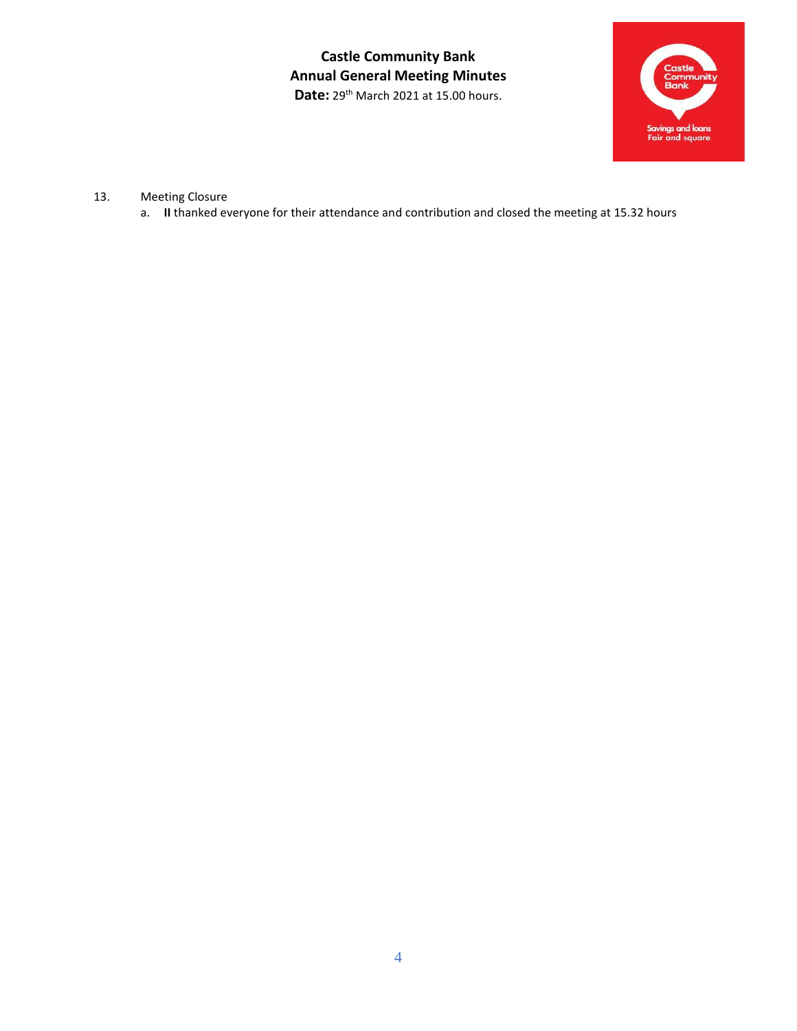**Castle Community Bank Annual General Meeting Minutes**  Date: 29<sup>th</sup> March 2021 at 15.00 hours.



- 13. Meeting Closure
	- a. **II** thanked everyone for their attendance and contribution and closed the meeting at 15.32 hours